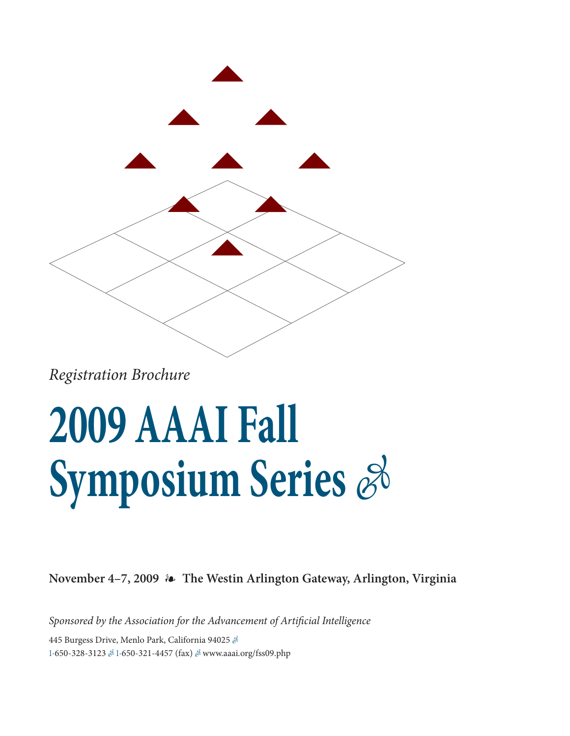

*Registration Brochure*

### **2009 AAAI Fall Symposium Series**  $\mathscr{E}$

**November 4–7, 2009 The Westin Arlington Gateway, Arlington, Virginia**

*Sponsored by the Association for the Advancement of Artificial Intelligence*

445 Burgess Drive, Menlo Park, California 94025 & 1-650-328-3123 & 1-650-321-4457 (fax) & www.aaai.org/fss09.php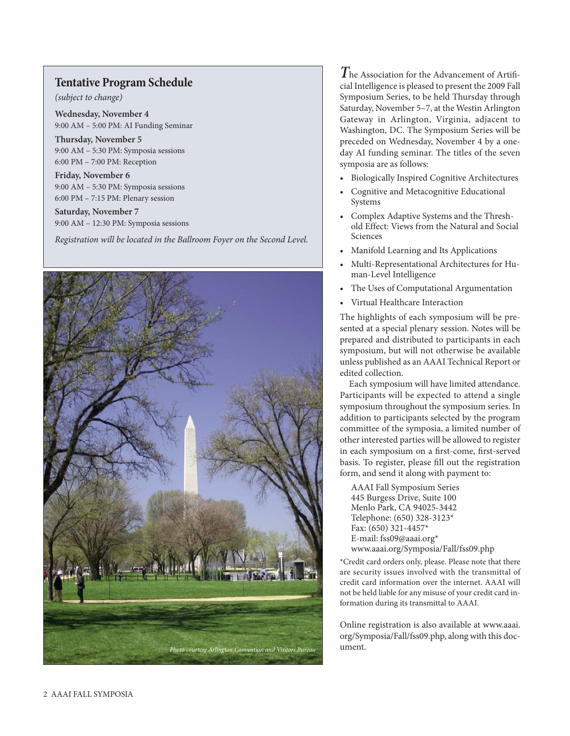### **Tentative Program Schedule**

*(subject to change)*

**Wednesday, November 4** 9:00 AM – 5:00 PM: AI Funding Seminar

**Thursday, November 5** 9:00 AM – 5:30 PM: Symposia sessions 6:00 PM – 7:00 PM: Reception

**Friday, November 6** 9:00 AM – 5:30 PM: Symposia sessions 6:00 PM – 7:15 PM: Plenary session

**Saturday, November 7** 9:00 AM – 12:30 PM: Symposia sessions

*Registration will be located in the Ballroom Foyer on the Second Level.*



*T*he Association for the Advancement of Artificial Intelligence is pleased to present the 2009 Fall Symposium Series, to be held Thursday through Saturday, November 5–7, at the Westin Arlington Gateway in Arlington, Virginia, adjacent to Washington, DC. The Symposium Series will be preceded on Wednesday, November 4 by a oneday AI funding seminar. The titles of the seven symposia are as follows:

- Biologically Inspired Cognitive Architectures
- Cognitive and Metacognitive Educational Systems
- Complex Adaptive Systems and the Threshold Effect: Views from the Natural and Social Sciences
- Manifold Learning and Its Applications
- Multi-Representational Architectures for Human-Level Intelligence
- The Uses of Computational Argumentation
- Virtual Healthcare Interaction

The highlights of each symposium will be presented at a special plenary session. Notes will be prepared and distributed to participants in each symposium, but will not otherwise be available unless published as an AAAI Technical Report or edited collection.

Each symposium will have limited attendance. Participants will be expected to attend a single symposium throughout the symposium series. In addition to participants selected by the program committee of the symposia, a limited number of other interested parties will be allowed to register in each symposium on a first-come, first-served basis. To register, please fill out the registration form, and send it along with payment to:

AAAI Fall Symposium Series 445 Burgess Drive, Suite 100 Menlo Park, CA 94025-3442 Telephone: (650) 328-3123\* Fax: (650) 321-4457\* E-mail: fss09@aaai.org\* www.aaai.org/Symposia/Fall/fss09.php

\*Credit card orders only, please. Please note that there are security issues involved with the transmittal of credit card information over the internet. AAAI will not be held liable for any misuse of your credit card information during its transmittal to AAAI.

Online registration is also available at www.aaai. org/Symposia/Fall/fss09.php, along with this document.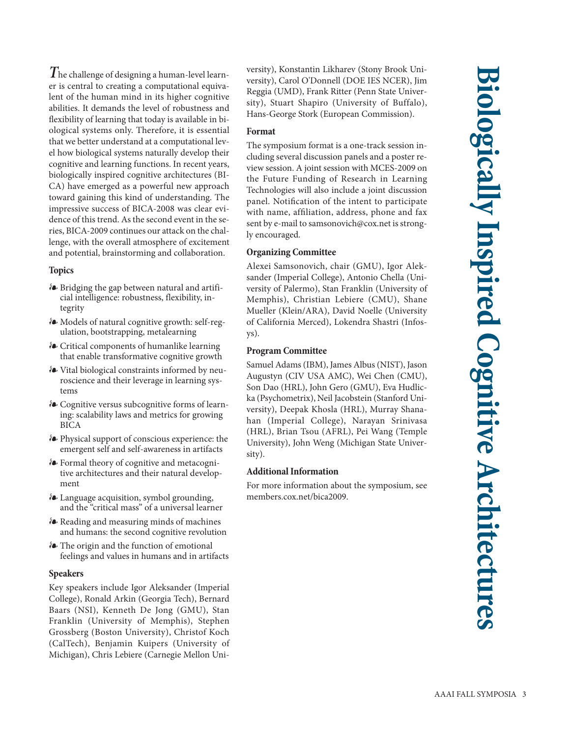*T*he challenge of designing a human-level learner is central to creating a computational equivalent of the human mind in its higher cognitive abilities. It demands the level of robustness and flexibility of learning that today is available in biological systems only. Therefore, it is essential that we better understand at a computational level how biological systems naturally develop their cognitive and learning functions. In recent years, biologically inspired cognitive architectures (BI-CA) have emerged as a powerful new approach toward gaining this kind of understanding. The impressive success of BICA-2008 was clear evidence of this trend. As the second event in the series, BICA-2009 continues our attack on the challenge, with the overall atmosphere of excitement and potential, brainstorming and collaboration.

### **Topics**

- $\mathcal{B}$  Bridging the gap between natural and artificial intelligence: robustness, flexibility, integrity
- Models of natural cognitive growth: self-regulation, bootstrapping, metalearning
- Critical components of humanlike learning that enable transformative cognitive growth
- Vital biological constraints informed by neuroscience and their leverage in learning systems
- Cognitive versus subcognitive forms of learning: scalability laws and metrics for growing BICA
- Physical support of conscious experience: the emergent self and self-awareness in artifacts
- $\mathcal{F}$  Formal theory of cognitive and metacognitive architectures and their natural development
- $\mathcal{E}$  Language acquisition, symbol grounding, and the "critical mass" of a universal learner
- Reading and measuring minds of machines and humans: the second cognitive revolution
- The origin and the function of emotional feelings and values in humans and in artifacts

### **Speakers**

Key speakers include Igor Aleksander (Imperial College), Ronald Arkin (Georgia Tech), Bernard Baars (NSI), Kenneth De Jong (GMU), Stan Franklin (University of Memphis), Stephen Grossberg (Boston University), Christof Koch (CalTech), Benjamin Kuipers (University of Michigan), Chris Lebiere (Carnegie Mellon University), Konstantin Likharev (Stony Brook University), Carol O'Donnell (DOE IES NCER), Jim Reggia (UMD), Frank Ritter (Penn State University), Stuart Shapiro (University of Buffalo), Hans-George Stork (European Commission).

### **Format**

The symposium format is a one-track session including several discussion panels and a poster review session. A joint session with MCES-2009 on the Future Funding of Research in Learning Technologies will also include a joint discussion panel. Notification of the intent to participate with name, affiliation, address, phone and fax sent by e-mail to samsonovich@cox.net is strongly encouraged.

### **Organizing Committee**

Alexei Samsonovich, chair (GMU), Igor Aleksander (Imperial College), Antonio Chella (University of Palermo), Stan Franklin (University of Memphis), Christian Lebiere (CMU), Shane Mueller (Klein/ARA), David Noelle (University of California Merced), Lokendra Shastri (Infosys).

### **Program Committee**

Samuel Adams (IBM), James Albus (NIST), Jason Augustyn (CIV USA AMC), Wei Chen (CMU), Son Dao (HRL), John Gero (GMU), Eva Hudlicka (Psychometrix), Neil Jacobstein (Stanford University), Deepak Khosla (HRL), Murray Shanahan (Imperial College), Narayan Srinivasa (HRL), Brian Tsou (AFRL), Pei Wang (Temple University), John Weng (Michigan State University).

### **Additional Information**

For more information about the symposium, see members.cox.net/bica2009.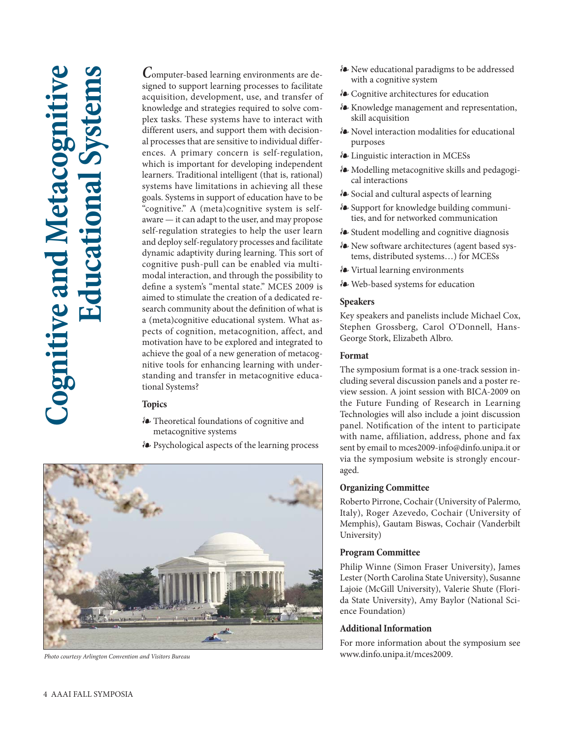## **Cognitive and Metacognitive Educational Systems** ognitive and Metacogn cationa  $\mathsf{FT}$

*C*omputer-based learning environments are designed to support learning processes to facilitate acquisition, development, use, and transfer of knowledge and strategies required to solve complex tasks. These systems have to interact with different users, and support them with decisional processes that are sensitive to individual differences. A primary concern is self-regulation, which is important for developing independent learners. Traditional intelligent (that is, rational) systems have limitations in achieving all these goals. Systems in support of education have to be "cognitive." A (meta)cognitive system is selfaware — it can adapt to the user, and may propose self-regulation strategies to help the user learn and deploy self-regulatory processes and facilitate dynamic adaptivity during learning. This sort of cognitive push-pull can be enabled via multimodal interaction, and through the possibility to define a system's "mental state." MCES 2009 is aimed to stimulate the creation of a dedicated research community about the definition of what is a (meta)cognitive educational system. What aspects of cognition, metacognition, affect, and motivation have to be explored and integrated to achieve the goal of a new generation of metacognitive tools for enhancing learning with understanding and transfer in metacognitive educational Systems?

### **Topics**

- Theoretical foundations of cognitive and metacognitive systems
- Psychological aspects of the learning process



*Photo courtesy Arlington Convention and Visitors Bureau*

- New educational paradigms to be addressed with a cognitive system
- Cognitive architectures for education
- Knowledge management and representation, skill acquisition
- Novel interaction modalities for educational purposes
- Linguistic interaction in MCESs
- Modelling metacognitive skills and pedagogical interactions
- Social and cultural aspects of learning
- Support for knowledge building communities, and for networked communication
- Student modelling and cognitive diagnosis
- New software architectures (agent based systems, distributed systems…) for MCESs
- Virtual learning environments
- Web-based systems for education

### **Speakers**

Key speakers and panelists include Michael Cox, Stephen Grossberg, Carol O'Donnell, Hans-George Stork, Elizabeth Albro.

### **Format**

The symposium format is a one-track session including several discussion panels and a poster review session. A joint session with BICA-2009 on the Future Funding of Research in Learning Technologies will also include a joint discussion panel. Notification of the intent to participate with name, affiliation, address, phone and fax sent by email to mces2009-info@dinfo.unipa.it or via the symposium website is strongly encouraged.

### **Organizing Committee**

Roberto Pirrone, Cochair (University of Palermo, Italy), Roger Azevedo, Cochair (University of Memphis), Gautam Biswas, Cochair (Vanderbilt University)

### **Program Committee**

Philip Winne (Simon Fraser University), James Lester (North Carolina State University), Susanne Lajoie (McGill University), Valerie Shute (Florida State University), Amy Baylor (National Science Foundation)

### **Additional Information**

For more information about the symposium see www.dinfo.unipa.it/mces2009.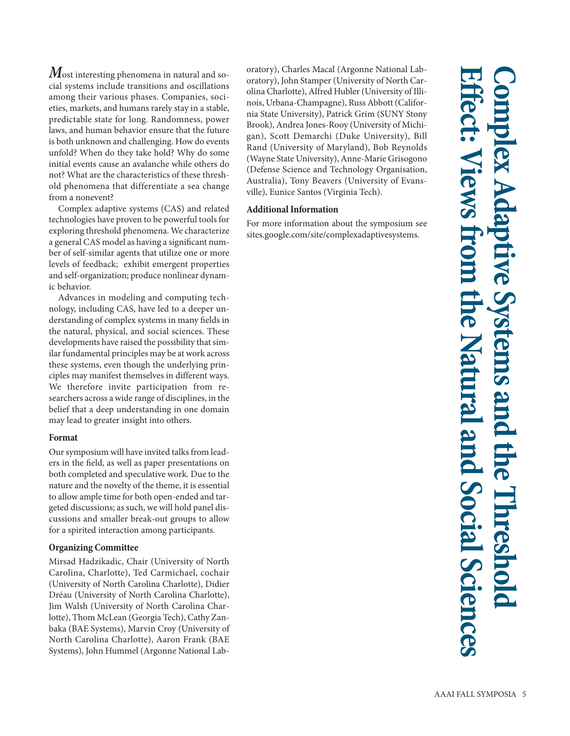*M*ost interesting phenomena in natural and social systems include transitions and oscillations among their various phases. Companies, societies, markets, and humans rarely stay in a stable, predictable state for long. Randomness, power laws, and human behavior ensure that the future is both unknown and challenging. How do events unfold? When do they take hold? Why do some initial events cause an avalanche while others do not? What are the characteristics of these threshold phenomena that differentiate a sea change from a nonevent?

Complex adaptive systems (CAS) and related technologies have proven to be powerful tools for exploring threshold phenomena. We characterize a general CAS model as having a significant number of self-similar agents that utilize one or more levels of feedback; exhibit emergent properties and self-organization; produce nonlinear dynamic behavior.

Advances in modeling and computing technology, including CAS, have led to a deeper understanding of complex systems in many fields in the natural, physical, and social sciences. These developments have raised the possibility that similar fundamental principles may be at work across these systems, even though the underlying principles may manifest themselves in different ways. We therefore invite participation from researchers across a wide range of disciplines, in the belief that a deep understanding in one domain may lead to greater insight into others.

### **Format**

Our symposium will have invited talks from leaders in the field, as well as paper presentations on both completed and speculative work. Due to the nature and the novelty of the theme, it is essential to allow ample time for both open-ended and targeted discussions; as such, we will hold panel discussions and smaller break-out groups to allow for a spirited interaction among participants.

### **Organizing Committee**

Mirsad Hadzikadic, Chair (University of North Carolina, Charlotte), Ted Carmichael, cochair (University of North Carolina Charlotte), Didier Dréau (University of North Carolina Charlotte), Jim Walsh (University of North Carolina Charlotte), Thom McLean (Georgia Tech), Cathy Zanbaka (BAE Systems), Marvin Croy (University of North Carolina Charlotte), Aaron Frank (BAE Systems), John Hummel (Argonne National Laboratory), Charles Macal (Argonne National Laboratory), John Stamper (University of North Carolina Charlotte), Alfred Hubler (University of Illinois, Urbana-Champagne), Russ Abbott (California State University), Patrick Grim (SUNY Stony Brook), Andrea Jones-Rooy (University of Michigan), Scott Demarchi (Duke University), Bill Rand (University of Maryland), Bob Reynolds (Wayne State University), Anne-Marie Grisogono (Defense Science and Technology Organisation, Australia), Tony Beavers (University of Evansville), Eunice Santos (Virginia Tech).

### **Additional Information**

For more information about the symposium see sites.google.com/site/complexadaptivesystems.

**Effect: Views from the Natural and Social Sciences Complex Adaptive Systems and the Threshold Jatural and Social Science**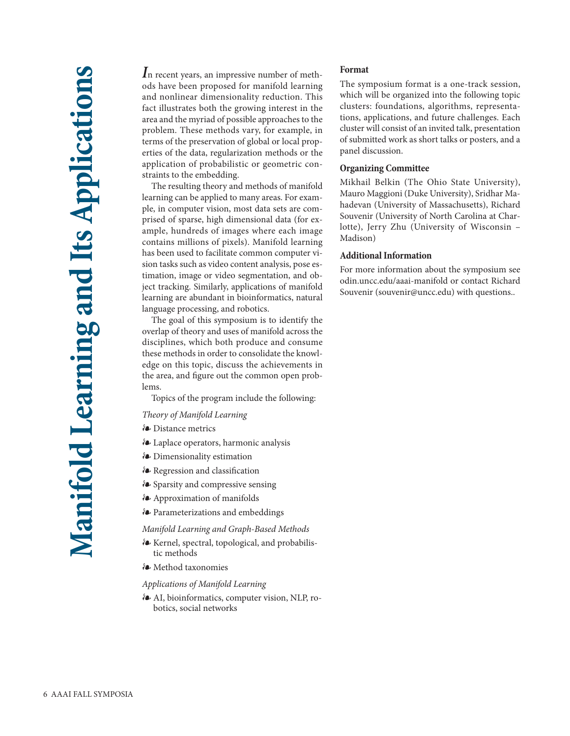*I*n recent years, an impressive number of methods have been proposed for manifold learning and nonlinear dimensionality reduction. This fact illustrates both the growing interest in the area and the myriad of possible approaches to the problem. These methods vary, for example, in terms of the preservation of global or local properties of the data, regularization methods or the application of probabilistic or geometric constraints to the embedding.

The resulting theory and methods of manifold learning can be applied to many areas. For example, in computer vision, most data sets are comprised of sparse, high dimensional data (for example, hundreds of images where each image contains millions of pixels). Manifold learning has been used to facilitate common computer vision tasks such as video content analysis, pose estimation, image or video segmentation, and object tracking. Similarly, applications of manifold learning are abundant in bioinformatics, natural language processing, and robotics.

The goal of this symposium is to identify the overlap of theory and uses of manifold across the disciplines, which both produce and consume these methods in order to consolidate the knowledge on this topic, discuss the achievements in the area, and figure out the common open problems.

Topics of the program include the following:

### *Theory of Manifold Learning*

- **Distance metrics**
- Laplace operators, harmonic analysis
- Dimensionality estimation
- Regression and classification
- Sparsity and compressive sensing
- Approximation of manifolds
- Parameterizations and embeddings

### *Manifold Learning and Graph-Based Methods*

- Kernel, spectral, topological, and probabilistic methods
- Method taxonomies

### *Applications of Manifold Learning*

 AI, bioinformatics, computer vision, NLP, robotics, social networks

### **Format**

The symposium format is a one-track session, which will be organized into the following topic clusters: foundations, algorithms, representations, applications, and future challenges. Each cluster will consist of an invited talk, presentation of submitted work as short talks or posters, and a panel discussion.

### **Organizing Committee**

Mikhail Belkin (The Ohio State University), Mauro Maggioni (Duke University), Sridhar Mahadevan (University of Massachusetts), Richard Souvenir (University of North Carolina at Charlotte), Jerry Zhu (University of Wisconsin – Madison)

### **Additional Information**

For more information about the symposium see odin.uncc.edu/aaai-manifold or contact Richard Souvenir (souvenir@uncc.edu) with questions..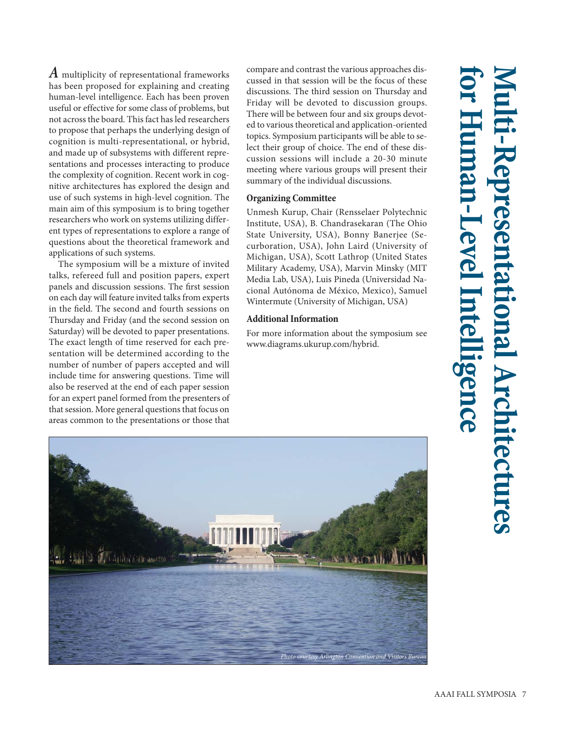*A* multiplicity of representational frameworks has been proposed for explaining and creating human-level intelligence. Each has been proven useful or effective for some class of problems, but not across the board. This fact has led researchers to propose that perhaps the underlying design of cognition is multi-representational, or hybrid, and made up of subsystems with different representations and processes interacting to produce the complexity of cognition. Recent work in cognitive architectures has explored the design and use of such systems in high-level cognition. The main aim of this symposium is to bring together researchers who work on systems utilizing different types of representations to explore a range of questions about the theoretical framework and applications of such systems.

The symposium will be a mixture of invited talks, refereed full and position papers, expert panels and discussion sessions. The first session on each day will feature invited talks from experts in the field. The second and fourth sessions on Thursday and Friday (and the second session on Saturday) will be devoted to paper presentations. The exact length of time reserved for each presentation will be determined according to the number of number of papers accepted and will include time for answering questions. Time will also be reserved at the end of each paper session for an expert panel formed from the presenters of that session. More general questions that focus on areas common to the presentations or those that

compare and contrast the various approaches discussed in that session will be the focus of these discussions. The third session on Thursday and Friday will be devoted to discussion groups. There will be between four and six groups devoted to various theoretical and application-oriented topics. Symposium participants will be able to select their group of choice. The end of these discussion sessions will include a 20-30 minute meeting where various groups will present their summary of the individual discussions.

### **Organizing Committee**

Unmesh Kurup, Chair (Rensselaer Polytechnic Institute, USA), B. Chandrasekaran (The Ohio State University, USA), Bonny Banerjee (Securboration, USA), John Laird (University of Michigan, USA), Scott Lathrop (United States Military Academy, USA), Marvin Minsky (MIT Media Lab, USA), Luis Pineda (Universidad Nacional Autónoma de México, Mexico), Samuel Wintermute (University of Michigan, USA)

### **Additional Information**

For more information about the symposium see www.diagrams.ukurup.com/hybrid.



# **for Human-Level Intelligence Multi-Representational Architectures I-Kepresentat** man-Level Intelligence nal Architectures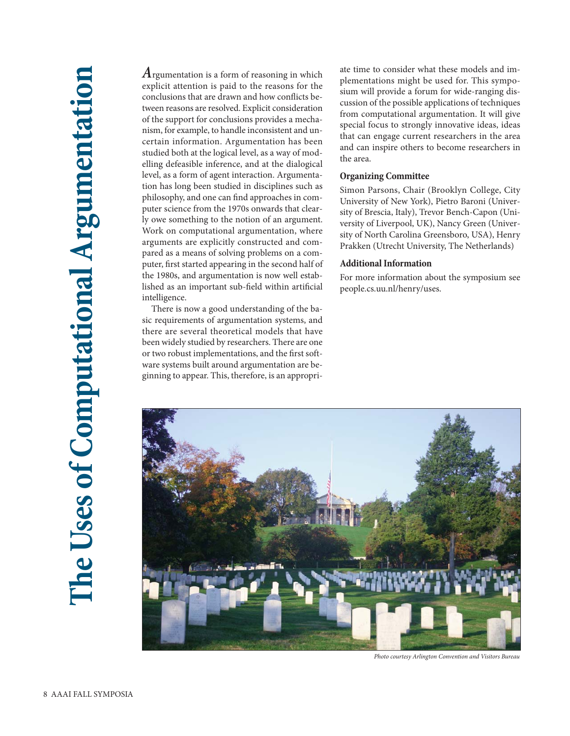*A*rgumentation is a form of reasoning in which explicit attention is paid to the reasons for the conclusions that are drawn and how conflicts between reasons are resolved. Explicit consideration of the support for conclusions provides a mechanism, for example, to handle inconsistent and uncertain information. Argumentation has been studied both at the logical level, as a way of modelling defeasible inference, and at the dialogical level, as a form of agent interaction. Argumentation has long been studied in disciplines such as philosophy, and one can find approaches in computer science from the 1970s onwards that clearly owe something to the notion of an argument. Work on computational argumentation, where arguments are explicitly constructed and compared as a means of solving problems on a computer, first started appearing in the second half of the 1980s, and argumentation is now well established as an important sub-field within artificial intelligence.

There is now a good understanding of the basic requirements of argumentation systems, and there are several theoretical models that have been widely studied by researchers. There are one or two robust implementations, and the first software systems built around argumentation are beginning to appear. This, therefore, is an appropriate time to consider what these models and implementations might be used for. This symposium will provide a forum for wide-ranging discussion of the possible applications of techniques from computational argumentation. It will give special focus to strongly innovative ideas, ideas that can engage current researchers in the area and can inspire others to become researchers in the area.

### **Organizing Committee**

Simon Parsons, Chair (Brooklyn College, City University of New York), Pietro Baroni (University of Brescia, Italy), Trevor Bench-Capon (University of Liverpool, UK), Nancy Green (University of North Carolina Greensboro, USA), Henry Prakken (Utrecht University, The Netherlands)

### **Additional Information**

For more information about the symposium see people.cs.uu.nl/henry/uses.



*Photo courtesy Arlington Convention and Visitors Bureau*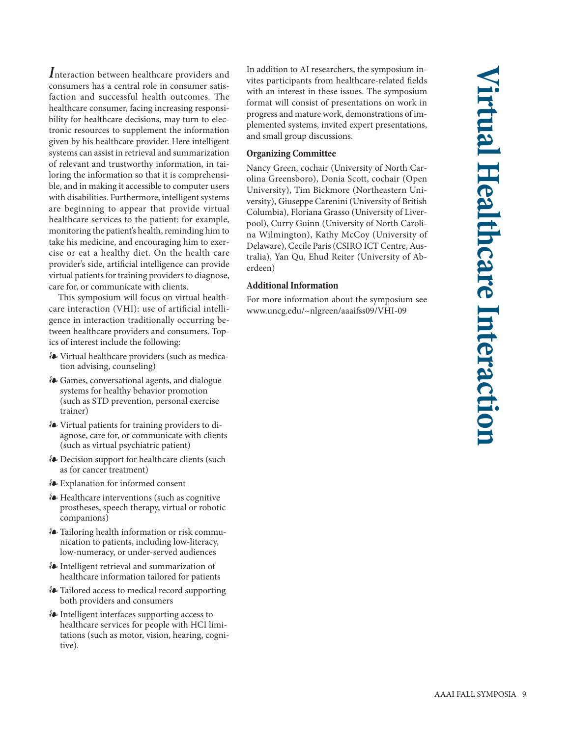*I*nteraction between healthcare providers and consumers has a central role in consumer satisfaction and successful health outcomes. The healthcare consumer, facing increasing responsibility for healthcare decisions, may turn to electronic resources to supplement the information given by his healthcare provider. Here intelligent systems can assist in retrieval and summarization of relevant and trustworthy information, in tailoring the information so that it is comprehensible, and in making it accessible to computer users with disabilities. Furthermore, intelligent systems are beginning to appear that provide virtual healthcare services to the patient: for example, monitoring the patient's health, reminding him to take his medicine, and encouraging him to exercise or eat a healthy diet. On the health care provider's side, artificial intelligence can provide virtual patients for training providers to diagnose, care for, or communicate with clients.

This symposium will focus on virtual healthcare interaction (VHI): use of artificial intelligence in interaction traditionally occurring between healthcare providers and consumers. Topics of interest include the following:

- Virtual healthcare providers (such as medication advising, counseling)
- Games, conversational agents, and dialogue systems for healthy behavior promotion (such as STD prevention, personal exercise trainer)
- Virtual patients for training providers to diagnose, care for, or communicate with clients (such as virtual psychiatric patient)
- Decision support for healthcare clients (such as for cancer treatment)
- Explanation for informed consent
- Healthcare interventions (such as cognitive prostheses, speech therapy, virtual or robotic companions)
- Tailoring health information or risk communication to patients, including low-literacy, low-numeracy, or under-served audiences
- Intelligent retrieval and summarization of healthcare information tailored for patients
- **Example 2** Tailored access to medical record supporting both providers and consumers
- Intelligent interfaces supporting access to healthcare services for people with HCI limitations (such as motor, vision, hearing, cognitive).

In addition to AI researchers, the symposium invites participants from healthcare-related fields with an interest in these issues. The symposium format will consist of presentations on work in progress and mature work, demonstrations of implemented systems, invited expert presentations, and small group discussions.

### **Organizing Committee**

Nancy Green, cochair (University of North Carolina Greensboro), Donia Scott, cochair (Open University), Tim Bickmore (Northeastern University), Giuseppe Carenini (University of British Columbia), Floriana Grasso (University of Liverpool), Curry Guinn (University of North Carolina Wilmington), Kathy McCoy (University of Delaware), Cecile Paris (CSIRO ICT Centre, Australia), Yan Qu, Ehud Reiter (University of Aberdeen)

### **Additional Information**

For more information about the symposium see www.uncg.edu/~nlgreen/aaaifss09/VHI-09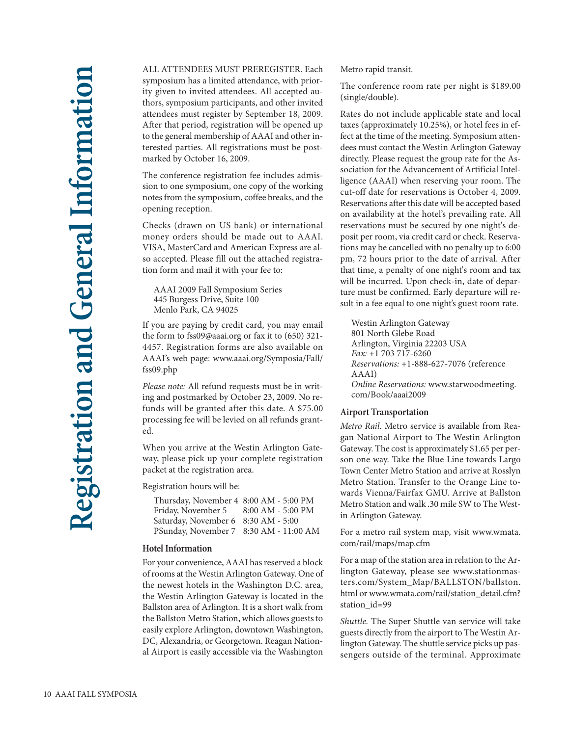ALL ATTENDEES MUST PREREGISTER. Each symposium has a limited attendance, with priority given to invited attendees. All accepted authors, symposium participants, and other invited attendees must register by September 18, 2009. After that period, registration will be opened up to the general membership of AAAI and other interested parties. All registrations must be postmarked by October 16, 2009.

The conference registration fee includes admission to one symposium, one copy of the working notes from the symposium, coffee breaks, and the opening reception.

Checks (drawn on US bank) or international money orders should be made out to AAAI. VISA, MasterCard and American Express are also accepted. Please fill out the attached registration form and mail it with your fee to:

AAAI 2009 Fall Symposium Series 445 Burgess Drive, Suite 100 Menlo Park, CA 94025

If you are paying by credit card, you may email the form to fss09@aaai.org or fax it to (650) 321- 4457. Registration forms are also available on AAAI's web page: www.aaai.org/Symposia/Fall/ fss09.php

*Please note:* All refund requests must be in writing and postmarked by October 23, 2009. No refunds will be granted after this date. A \$75.00 processing fee will be levied on all refunds granted.

When you arrive at the Westin Arlington Gateway, please pick up your complete registration packet at the registration area.

Registration hours will be:

Thursday, November 4 8:00 AM - 5:00 PM Friday, November 5 8:00 AM - 5:00 PM Saturday, November 6 8:30 AM - 5:00 PSunday, November 7 8:30 AM - 11:00 AM

### **Hotel Information**

For your convenience, AAAI has reserved a block of rooms at the Westin Arlington Gateway. One of the newest hotels in the Washington D.C. area, the Westin Arlington Gateway is located in the Ballston area of Arlington. It is a short walk from the Ballston Metro Station, which allows guests to easily explore Arlington, downtown Washington, DC, Alexandria, or Georgetown. Reagan National Airport is easily accessible via the Washington Metro rapid transit.

The conference room rate per night is \$189.00 (single/double).

Rates do not include applicable state and local taxes (approximately 10.25%), or hotel fees in effect at the time of the meeting. Symposium attendees must contact the Westin Arlington Gateway directly. Please request the group rate for the Association for the Advancement of Artificial Intelligence (AAAI) when reserving your room. The cut-off date for reservations is October 4, 2009. Reservations after this date will be accepted based on availability at the hotel's prevailing rate. All reservations must be secured by one night's deposit per room, via credit card or check. Reservations may be cancelled with no penalty up to 6:00 pm, 72 hours prior to the date of arrival. After that time, a penalty of one night's room and tax will be incurred. Upon check-in, date of departure must be confirmed. Early departure will result in a fee equal to one night's guest room rate.

Westin Arlington Gateway 801 North Glebe Road Arlington, Virginia 22203 USA *Fax:* +1 703 717-6260 *Reservations:* +1-888-627-7076 (reference AAAI) *Online Reservations:* www.starwoodmeeting. com/Book/aaai2009

### **Airport Transportation**

*Metro Rail.* Metro service is available from Reagan National Airport to The Westin Arlington Gateway. The cost is approximately \$1.65 per person one way. Take the Blue Line towards Largo Town Center Metro Station and arrive at Rosslyn Metro Station. Transfer to the Orange Line towards Vienna/Fairfax GMU. Arrive at Ballston Metro Station and walk .30 mile SW to The Westin Arlington Gateway.

For a metro rail system map, visit www.wmata. com/rail/maps/map.cfm

For a map of the station area in relation to the Arlington Gateway, please see www.stationmasters.com/System\_Map/BALLSTON/ballston. html or www.wmata.com/rail/station\_detail.cfm? station\_id=99

*Shuttle.* The Super Shuttle van service will take guests directly from the airport to The Westin Arlington Gateway. The shuttle service picks up passengers outside of the terminal. Approximate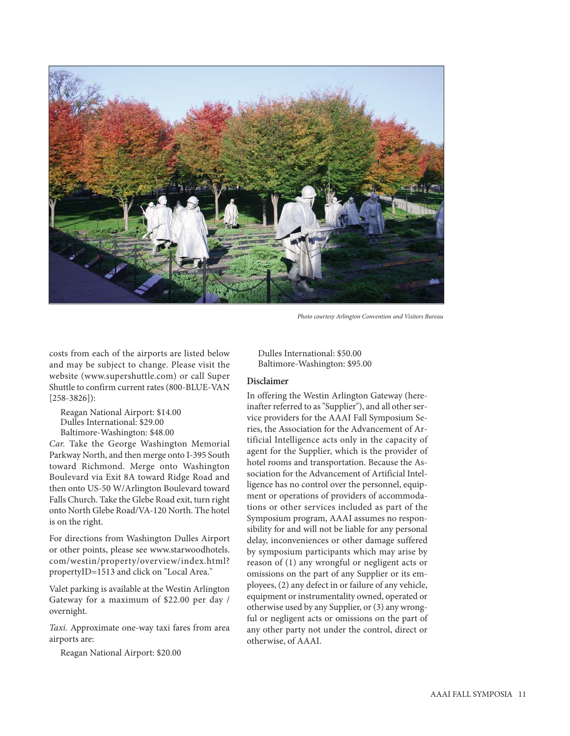

*Photo courtesy Arlington Convention and Visitors Bureau*

costs from each of the airports are listed below and may be subject to change. Please visit the website (www.supershuttle.com) or call Super Shuttle to confirm current rates (800-BLUE-VAN [258-3826]):

Reagan National Airport: \$14.00 Dulles International: \$29.00 Baltimore-Washington: \$48.00

*Car.* Take the George Washington Memorial Parkway North, and then merge onto I-395 South toward Richmond. Merge onto Washington Boulevard via Exit 8A toward Ridge Road and then onto US-50 W/Arlington Boulevard toward Falls Church. Take the Glebe Road exit, turn right onto North Glebe Road/VA-120 North. The hotel is on the right.

For directions from Washington Dulles Airport or other points, please see www.starwoodhotels. com/westin/property/overview/index.html? propertyID=1513 and click on "Local Area."

Valet parking is available at the Westin Arlington Gateway for a maximum of \$22.00 per day / overnight.

*Taxi.* Approximate one-way taxi fares from area airports are:

Reagan National Airport: \$20.00

Dulles International: \$50.00 Baltimore-Washington: \$95.00

### **Disclaimer**

In offering the Westin Arlington Gateway (hereinafter referred to as "Supplier"), and all other service providers for the AAAI Fall Symposium Series, the Association for the Advancement of Artificial Intelligence acts only in the capacity of agent for the Supplier, which is the provider of hotel rooms and transportation. Because the Association for the Advancement of Artificial Intelligence has no control over the personnel, equipment or operations of providers of accommodations or other services included as part of the Symposium program, AAAI assumes no responsibility for and will not be liable for any personal delay, inconveniences or other damage suffered by symposium participants which may arise by reason of (1) any wrongful or negligent acts or omissions on the part of any Supplier or its employees, (2) any defect in or failure of any vehicle, equipment or instrumentality owned, operated or otherwise used by any Supplier, or (3) any wrongful or negligent acts or omissions on the part of any other party not under the control, direct or otherwise, of AAAI.